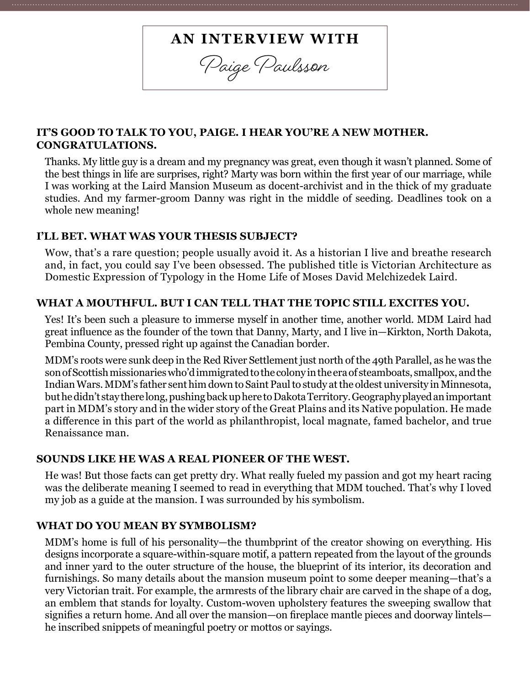# **AN INTERVIEW WITH**

**Paige Paulsson**

## **IT'S GOOD TO TALK TO YOU, PAIGE. I HEAR YOU'RE A NEW MOTHER. CONGRATULATIONS.**

Thanks. My little guy is a dream and my pregnancy was great, even though it wasn't planned. Some of the best things in life are surprises, right? Marty was born within the first year of our marriage, while I was working at the Laird Mansion Museum as docent-archivist and in the thick of my graduate studies. And my farmer-groom Danny was right in the middle of seeding. Deadlines took on a whole new meaning!

#### **I'LL BET. WHAT WAS YOUR THESIS SUBJECT?**

Wow, that's a rare question; people usually avoid it. As a historian I live and breathe research and, in fact, you could say I've been obsessed. The published title is Victorian Architecture as Domestic Expression of Typology in the Home Life of Moses David Melchizedek Laird.

#### **WHAT A MOUTHFUL. BUT I CAN TELL THAT THE TOPIC STILL EXCITES YOU.**

Yes! It's been such a pleasure to immerse myself in another time, another world. MDM Laird had great influence as the founder of the town that Danny, Marty, and I live in—Kirkton, North Dakota, Pembina County, pressed right up against the Canadian border.

MDM's roots were sunk deep in the Red River Settlement just north of the 49th Parallel, as he was the son of Scottish missionaries who'd immigrated to the colony in the era of steamboats, smallpox, and the Indian Wars. MDM's father sent him down to Saint Paul to study at the oldest university in Minnesota, but he didn't stay there long, pushing back up here to Dakota Territory. Geography played an important part in MDM's story and in the wider story of the Great Plains and its Native population. He made a difference in this part of the world as philanthropist, local magnate, famed bachelor, and true Renaissance man.

#### **SOUNDS LIKE HE WAS A REAL PIONEER OF THE WEST.**

He was! But those facts can get pretty dry. What really fueled my passion and got my heart racing was the deliberate meaning I seemed to read in everything that MDM touched. That's why I loved my job as a guide at the mansion. I was surrounded by his symbolism.

#### **WHAT DO YOU MEAN BY SYMBOLISM?**

MDM's home is full of his personality—the thumbprint of the creator showing on everything. His designs incorporate a square-within-square motif, a pattern repeated from the layout of the grounds and inner yard to the outer structure of the house, the blueprint of its interior, its decoration and furnishings. So many details about the mansion museum point to some deeper meaning—that's a very Victorian trait. For example, the armrests of the library chair are carved in the shape of a dog, an emblem that stands for loyalty. Custom-woven upholstery features the sweeping swallow that signifies a return home. And all over the mansion—on fireplace mantle pieces and doorway lintels he inscribed snippets of meaningful poetry or mottos or sayings.